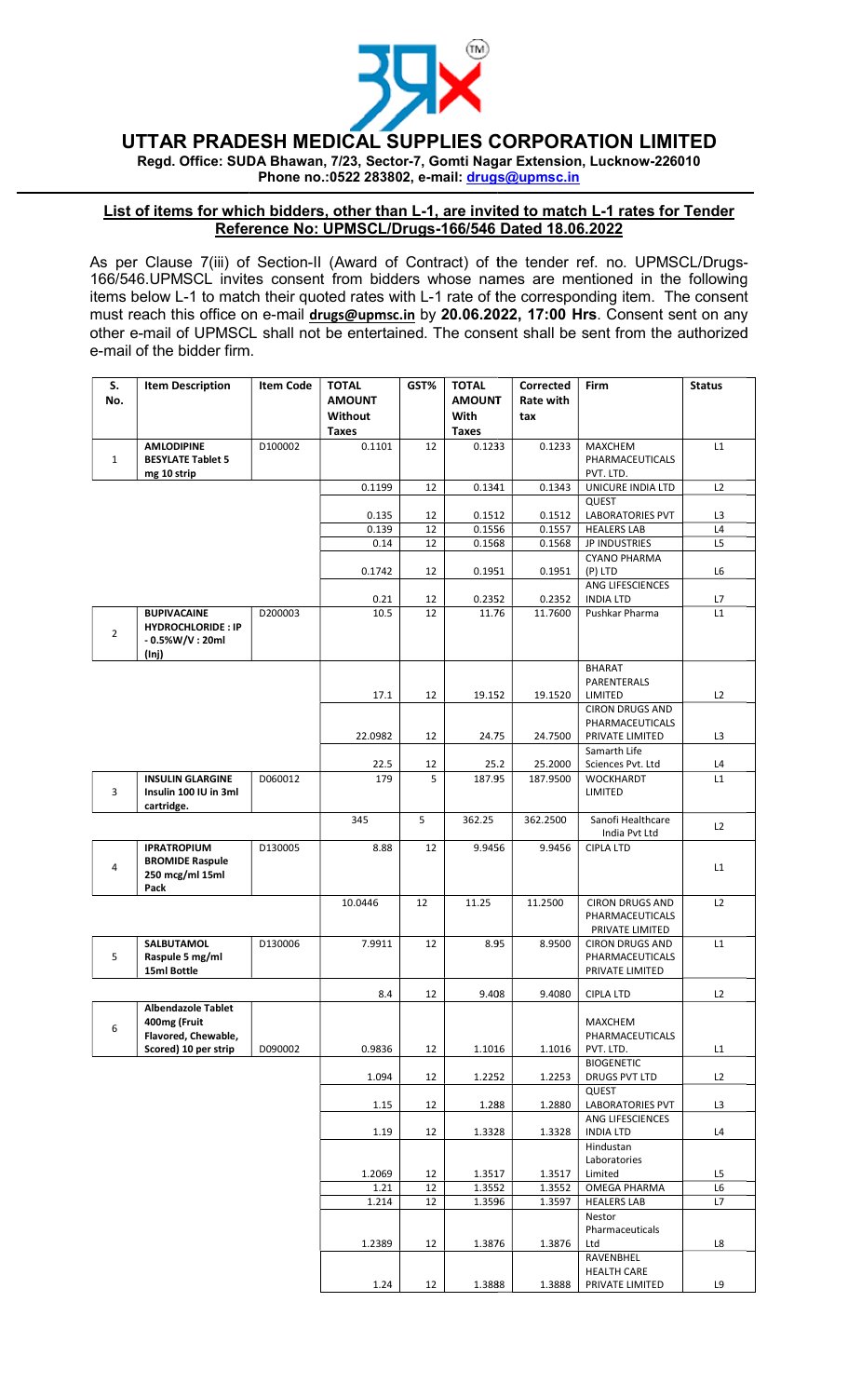

UTTAR PRADESH MEDICAL SUPPLIES CORPORATION LIMITED PRADESH LIMITED

Regd. Office: SUDA Bhawan, 7/23, Sector-7, Gomti Nagar Extension, Lucknow-226010 Phone no.:0522 283802, e-mail: drugs@upmsc.in

## List of items for which bidders, other than L-1, are invited to match L-1 rates for Tender Reference No: UPMSCL/Drugs-166/546 Dated 18.06.2022 f

As per Clause 7(iii) of Section-II (Award of Contract) of the tender ref. no. UPMSCL/Drugs-166/546.UPMSCL invites consent from bidders whose names are mentioned in the following 166/546.UPMSCL invites consent from bidders whose names are mentioned in the following<br>items below L-1 to match their quoted rates with L-1 rate of the corresponding item. The consent 166/546.UPMSCL invites consent from bidders whose names are mentioned in the following<br>items below L-1 to match their quoted rates with L-1 rate of the corresponding item. The consent<br>must reach this office on e-mail <u>dru</u> other e-mail of UPMSCL shall not be entertained. The consent shall be sent from the authorized<br>e-mail of the bidder firm. e-mail of the bidder firm.

| S.<br>No.      | <b>Item Description</b>                                                        | <b>Item Code</b> | <b>TOTAL</b><br><b>AMOUNT</b><br>Without | GST% | <b>TOTAL</b><br><b>AMOUNT</b><br>With | <b>Corrected</b><br>Rate with<br>tax | <b>Firm</b>                                                              | <b>Status</b> |
|----------------|--------------------------------------------------------------------------------|------------------|------------------------------------------|------|---------------------------------------|--------------------------------------|--------------------------------------------------------------------------|---------------|
|                |                                                                                |                  | <b>Taxes</b>                             |      | <b>Taxes</b>                          |                                      |                                                                          |               |
| $\mathbf{1}$   | <b>AMLODIPINE</b><br><b>BESYLATE Tablet 5</b><br>mg 10 strip                   | D100002          | 0.1101                                   | 12   | 0.1233                                | 0.1233                               | <b>MAXCHEM</b><br>PHARMACEUTICALS<br>PVT. LTD.                           | L1            |
|                |                                                                                |                  | 0.1199                                   | 12   | 0.1341                                | 0.1343                               | UNICURE INDIA LTD                                                        | L2            |
|                |                                                                                |                  |                                          |      |                                       |                                      | QUEST                                                                    |               |
|                |                                                                                |                  | 0.135                                    | 12   | 0.1512                                | 0.1512                               | <b>LABORATORIES PVT</b>                                                  | L3            |
|                |                                                                                |                  | 0.139                                    | 12   | 0.1556                                | 0.1557                               | <b>HEALERS LAB</b>                                                       | L4            |
|                |                                                                                |                  | 0.14                                     | 12   | 0.1568                                | 0.1568                               | <b>JP INDUSTRIES</b><br><b>CYANO PHARMA</b>                              | L5            |
|                |                                                                                |                  | 0.1742                                   | 12   | 0.1951                                | 0.1951                               | (P) LTD                                                                  | L6            |
|                |                                                                                |                  |                                          |      |                                       |                                      | ANG LIFESCIENCES                                                         |               |
|                |                                                                                |                  | 0.21                                     | 12   | 0.2352                                | 0.2352                               | <b>INDIA LTD</b>                                                         | L7            |
| $\overline{2}$ | <b>BUPIVACAINE</b><br><b>HYDROCHLORIDE: IP</b><br>$-0.5\%$ W/V : 20ml<br>(lnj) | D200003          | 10.5                                     | 12   | 11.76                                 | 11.7600                              | Pushkar Pharma                                                           | L1            |
|                |                                                                                |                  |                                          |      |                                       |                                      | <b>BHARAT</b>                                                            |               |
|                |                                                                                |                  |                                          |      |                                       |                                      | PARENTERALS                                                              |               |
|                |                                                                                |                  | 17.1                                     | 12   | 19.152                                | 19.1520                              | LIMITED                                                                  | L2            |
|                |                                                                                |                  | 22.0982                                  | 12   | 24.75                                 | 24.7500                              | <b>CIRON DRUGS AND</b><br>PHARMACEUTICALS<br>PRIVATE LIMITED             | L3            |
|                |                                                                                |                  |                                          |      |                                       |                                      | Samarth Life                                                             |               |
|                |                                                                                |                  | 22.5                                     | 12   | 25.2                                  | 25.2000                              | Sciences Pvt. Ltd                                                        | L4            |
| 3              | <b>INSULIN GLARGINE</b><br>Insulin 100 IU in 3ml<br>cartridge.                 | D060012          | 179                                      | 5    | 187.95                                | 187.9500                             | <b>WOCKHARDT</b><br>LIMITED                                              | L1            |
|                |                                                                                |                  | 345                                      | 5    | 362.25                                | 362.2500                             | Sanofi Healthcare<br>India Pvt Ltd                                       | L2            |
| 4              | <b>IPRATROPIUM</b><br><b>BROMIDE Raspule</b><br>250 mcg/ml 15ml<br>Pack        | D130005          | 8.88                                     | 12   | 9.9456                                | 9.9456                               | <b>CIPLA LTD</b>                                                         | L1            |
|                |                                                                                |                  | 10.0446                                  | 12   | 11.25                                 | 11.2500                              | <b>CIRON DRUGS AND</b><br>PHARMACEUTICALS                                | L2            |
| 5              | <b>SALBUTAMOL</b><br>Raspule 5 mg/ml<br>15ml Bottle                            | D130006          | 7.9911                                   | 12   | 8.95                                  | 8.9500                               | PRIVATE LIMITED<br>CIRON DRUGS AND<br>PHARMACEUTICALS<br>PRIVATE LIMITED | L1            |
|                |                                                                                |                  | 8.4                                      | 12   | 9.408                                 | 9.4080                               | <b>CIPLA LTD</b>                                                         | L2            |
| 6              | <b>Albendazole Tablet</b><br>400mg (Fruit<br>Flavored, Chewable,               |                  |                                          |      |                                       |                                      | MAXCHEM<br>PHARMACEUTICALS                                               |               |
|                | Scored) 10 per strip                                                           | D090002          | 0.9836                                   | 12   | 1.1016                                | 1.1016                               | PVT. LTD.<br><b>BIOGENETIC</b>                                           | L1            |
|                |                                                                                |                  | 1.094                                    | 12   | 1.2252                                | 1.2253                               | DRUGS PVT LTD                                                            | L2            |
|                |                                                                                |                  |                                          |      |                                       |                                      | QUEST                                                                    |               |
|                |                                                                                |                  | 1.15                                     | 12   | 1.288                                 | 1.2880                               | <b>LABORATORIES PVT</b>                                                  | L3            |
|                |                                                                                |                  |                                          |      |                                       |                                      | ANG LIFESCIENCES                                                         |               |
|                |                                                                                |                  | 1.19                                     | 12   | 1.3328                                | 1.3328                               | <b>INDIA LTD</b>                                                         | L4            |
|                |                                                                                |                  | 1.2069                                   | 12   | 1.3517                                | 1.3517                               | Hindustan<br>Laboratories<br>Limited                                     | L5            |
|                |                                                                                |                  | 1.21                                     | 12   | 1.3552                                | 1.3552                               | OMEGA PHARMA                                                             | L6            |
|                |                                                                                |                  | 1.214                                    | 12   | 1.3596                                | 1.3597                               | <b>HEALERS LAB</b>                                                       | L7            |
|                |                                                                                |                  | 1.2389                                   | 12   | 1.3876                                | 1.3876                               | Nestor<br>Pharmaceuticals<br>Ltd                                         | L8            |
|                |                                                                                |                  |                                          |      |                                       |                                      | RAVENBHEL                                                                |               |
|                |                                                                                |                  |                                          |      |                                       |                                      | <b>HEALTH CARE</b>                                                       |               |
|                |                                                                                |                  | 1.24                                     | 12   | 1.3888                                | 1.3888                               | PRIVATE LIMITED                                                          | L9            |